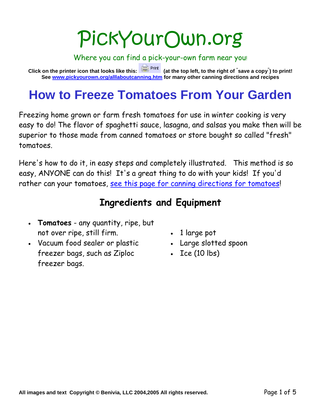# PickYourOwn.org

Where you can find a pick-your-own farm near you! **Click on the printer icon that looks like this: (at the top left, to the right of " save a copy" ) to print! See www.pickyourown.org/alllaboutcanning.htm for many other canning directions and recipes**

# **How to Freeze Tomatoes From Your Garden**

Freezing home grown or farm fresh tomatoes for use in winter cooking is very easy to do! The flavor of spaghetti sauce, lasagna, and salsas you make then will be superior to those made from canned tomatoes or store bought so called "fresh" tomatoes.

Here's how to do it, in easy steps and completely illustrated. This method is so easy, ANYONE can do this! It's a great thing to do with your kids! If you'd rather can your tomatoes, see this page for canning directions for tomatoes!

### **Ingredients and Equipment**

- **Tomatoes** any quantity, ripe, but not over ripe, still firm.
- Vacuum food sealer or plastic freezer bags, such as Ziploc freezer bags.
- 1 large pot
- Large slotted spoon
- $\cdot$  Ice (10 lbs)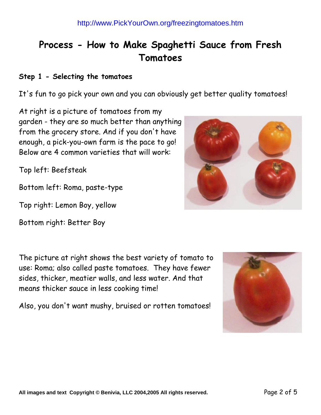## **Process - How to Make Spaghetti Sauce from Fresh Tomatoes**

#### **Step 1 - Selecting the tomatoes**

It's fun to go pick your own and you can obviously get better quality tomatoes!

At right is a picture of tomatoes from my garden - they are so much better than anything from the grocery store. And if you don't have enough, a pick-you-own farm is the pace to go! Below are 4 common varieties that will work:

Top left: Beefsteak

Bottom left: Roma, paste-type

Top right: Lemon Boy, yellow

Bottom right: Better Boy

The picture at right shows the best variety of tomato to use: Roma; also called paste tomatoes. They have fewer sides, thicker, meatier walls, and less water. And that means thicker sauce in less cooking time!

Also, you don't want mushy, bruised or rotten tomatoes!



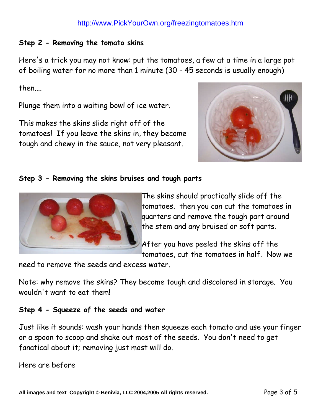#### http://www.PickYourOwn.org/freezingtomatoes.htm

#### **Step 2 - Removing the tomato skins**

Here's a trick you may not know: put the tomatoes, a few at a time in a large pot of boiling water for no more than 1 minute (30 - 45 seconds is usually enough)

then....

Plunge them into a waiting bowl of ice water.

This makes the skins slide right off of the tomatoes! If you leave the skins in, they become tough and chewy in the sauce, not very pleasant.



#### **Step 3 - Removing the skins bruises and tough parts**



The skins should practically slide off the tomatoes. then you can cut the tomatoes in quarters and remove the tough part around the stem and any bruised or soft parts.

After you have peeled the skins off the tomatoes, cut the tomatoes in half. Now we

need to remove the seeds and excess water.

Note: why remove the skins? They become tough and discolored in storage. You wouldn't want to eat them!

#### **Step 4 - Squeeze of the seeds and water**

Just like it sounds: wash your hands then squeeze each tomato and use your finger or a spoon to scoop and shake out most of the seeds. You don't need to get fanatical about it; removing just most will do.

Here are before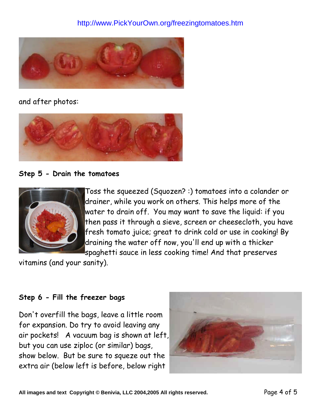

and after photos:



**Step 5 - Drain the tomatoes**



Toss the squeezed (Squozen? :) tomatoes into a colander or drainer, while you work on others. This helps more of the water to drain off. You may want to save the liquid: if you then pass it through a sieve, screen or cheesecloth, you have fresh tomato juice; great to drink cold or use in cooking! By draining the water off now, you'll end up with a thicker spaghetti sauce in less cooking time! And that preserves

vitamins (and your sanity).

#### **Step 6 - Fill the freezer bags**

Don't overfill the bags, leave a little room for expansion. Do try to avoid leaving any air pockets! A vacuum bag is shown at left, but you can use ziploc (or similar) bags, show below. But be sure to squeze out the extra air (below left is before, below right